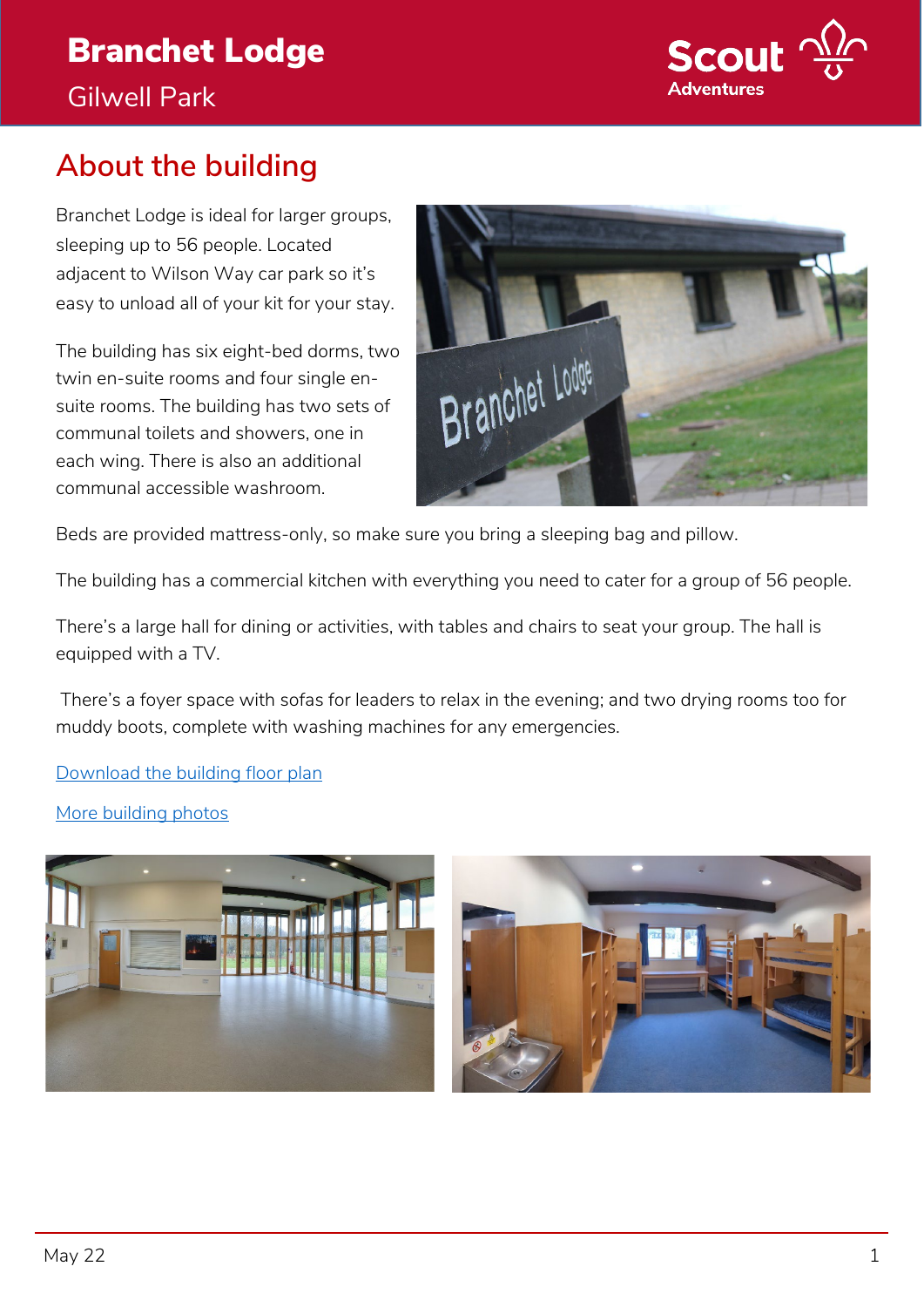

## **About the building**

Branchet Lodge is ideal for larger groups, sleeping up to 56 people. Located adjacent to Wilson Way car park so it's easy to unload all of your kit for your stay.

The building has six eight-bed dorms, two twin en-suite rooms and four single ensuite rooms. The building has two sets of communal toilets and showers, one in each wing. There is also an additional communal accessible washroom.



Beds are provided mattress-only, so make sure you bring a sleeping bag and pillow.

The building has a commercial kitchen with everything you need to cater for a group of 56 people.

There's a large hall for dining or activities, with tables and chairs to seat your group. The hall is equipped with a TV.

There's a foyer space with sofas for leaders to relax in the evening; and two drying rooms too for muddy boots, complete with washing machines for any emergencies.

[Download the building floor](https://www.scoutadventures.org.uk/resources-planning-visit) plan

[More building photos](https://imgur.com/a/AKVuJdU)